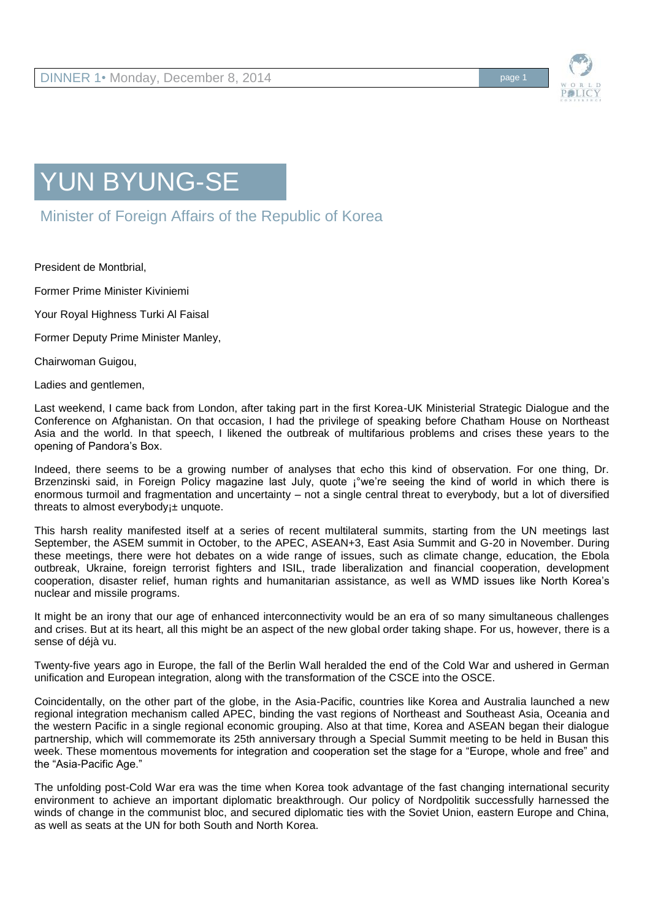



Minister of Foreign Affairs of the Republic of Korea

President de Montbrial,

Former Prime Minister Kiviniemi

Your Royal Highness Turki Al Faisal

Former Deputy Prime Minister Manley,

Chairwoman Guigou,

Ladies and gentlemen,

Last weekend, I came back from London, after taking part in the first Korea-UK Ministerial Strategic Dialogue and the Conference on Afghanistan. On that occasion, I had the privilege of speaking before Chatham House on Northeast Asia and the world. In that speech, I likened the outbreak of multifarious problems and crises these years to the opening of Pandora's Box.

Indeed, there seems to be a growing number of analyses that echo this kind of observation. For one thing, Dr. Brzenzinski said, in Foreign Policy magazine last July, quote i°we're seeing the kind of world in which there is enormous turmoil and fragmentation and uncertainty – not a single central threat to everybody, but a lot of diversified threats to almost everybody¡± unquote.

This harsh reality manifested itself at a series of recent multilateral summits, starting from the UN meetings last September, the ASEM summit in October, to the APEC, ASEAN+3, East Asia Summit and G-20 in November. During these meetings, there were hot debates on a wide range of issues, such as climate change, education, the Ebola outbreak, Ukraine, foreign terrorist fighters and ISIL, trade liberalization and financial cooperation, development cooperation, disaster relief, human rights and humanitarian assistance, as well as WMD issues like North Korea's nuclear and missile programs.

It might be an irony that our age of enhanced interconnectivity would be an era of so many simultaneous challenges and crises. But at its heart, all this might be an aspect of the new global order taking shape. For us, however, there is a sense of déjà vu.

Twenty-five years ago in Europe, the fall of the Berlin Wall heralded the end of the Cold War and ushered in German unification and European integration, along with the transformation of the CSCE into the OSCE.

Coincidentally, on the other part of the globe, in the Asia-Pacific, countries like Korea and Australia launched a new regional integration mechanism called APEC, binding the vast regions of Northeast and Southeast Asia, Oceania and the western Pacific in a single regional economic grouping. Also at that time, Korea and ASEAN began their dialogue partnership, which will commemorate its 25th anniversary through a Special Summit meeting to be held in Busan this week. These momentous movements for integration and cooperation set the stage for a "Europe, whole and free" and the "Asia-Pacific Age."

The unfolding post-Cold War era was the time when Korea took advantage of the fast changing international security environment to achieve an important diplomatic breakthrough. Our policy of Nordpolitik successfully harnessed the winds of change in the communist bloc, and secured diplomatic ties with the Soviet Union, eastern Europe and China, as well as seats at the UN for both South and North Korea.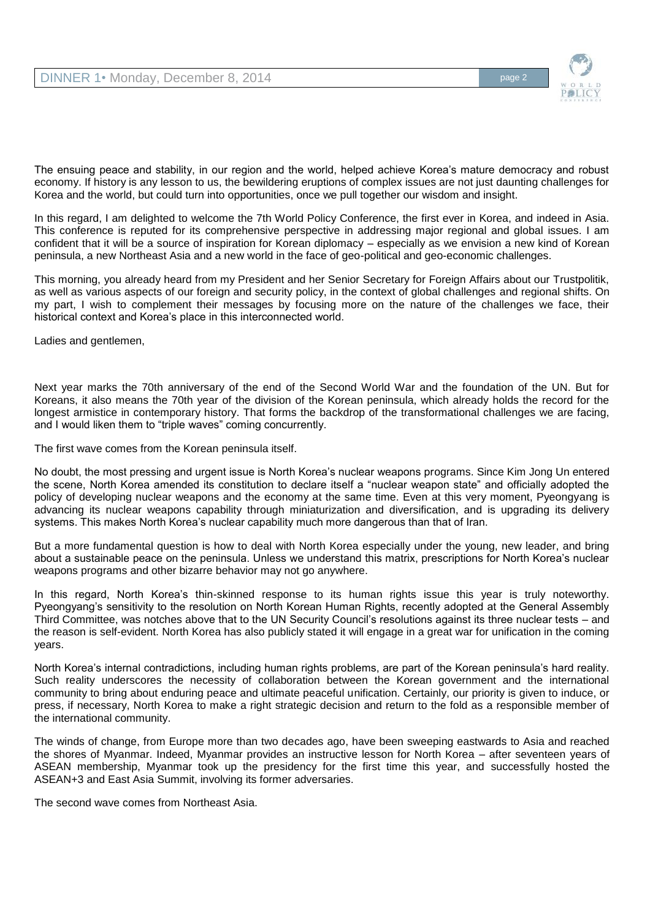

The ensuing peace and stability, in our region and the world, helped achieve Korea's mature democracy and robust economy. If history is any lesson to us, the bewildering eruptions of complex issues are not just daunting challenges for Korea and the world, but could turn into opportunities, once we pull together our wisdom and insight.

In this regard, I am delighted to welcome the 7th World Policy Conference, the first ever in Korea, and indeed in Asia. This conference is reputed for its comprehensive perspective in addressing major regional and global issues. I am confident that it will be a source of inspiration for Korean diplomacy – especially as we envision a new kind of Korean peninsula, a new Northeast Asia and a new world in the face of geo-political and geo-economic challenges.

This morning, you already heard from my President and her Senior Secretary for Foreign Affairs about our Trustpolitik, as well as various aspects of our foreign and security policy, in the context of global challenges and regional shifts. On my part, I wish to complement their messages by focusing more on the nature of the challenges we face, their historical context and Korea's place in this interconnected world.

Ladies and gentlemen,

Next year marks the 70th anniversary of the end of the Second World War and the foundation of the UN. But for Koreans, it also means the 70th year of the division of the Korean peninsula, which already holds the record for the longest armistice in contemporary history. That forms the backdrop of the transformational challenges we are facing, and I would liken them to "triple waves" coming concurrently.

The first wave comes from the Korean peninsula itself.

No doubt, the most pressing and urgent issue is North Korea's nuclear weapons programs. Since Kim Jong Un entered the scene, North Korea amended its constitution to declare itself a "nuclear weapon state" and officially adopted the policy of developing nuclear weapons and the economy at the same time. Even at this very moment, Pyeongyang is advancing its nuclear weapons capability through miniaturization and diversification, and is upgrading its delivery systems. This makes North Korea's nuclear capability much more dangerous than that of Iran.

But a more fundamental question is how to deal with North Korea especially under the young, new leader, and bring about a sustainable peace on the peninsula. Unless we understand this matrix, prescriptions for North Korea's nuclear weapons programs and other bizarre behavior may not go anywhere.

In this regard, North Korea's thin-skinned response to its human rights issue this year is truly noteworthy. Pyeongyang's sensitivity to the resolution on North Korean Human Rights, recently adopted at the General Assembly Third Committee, was notches above that to the UN Security Council's resolutions against its three nuclear tests – and the reason is self-evident. North Korea has also publicly stated it will engage in a great war for unification in the coming years.

North Korea's internal contradictions, including human rights problems, are part of the Korean peninsula's hard reality. Such reality underscores the necessity of collaboration between the Korean government and the international community to bring about enduring peace and ultimate peaceful unification. Certainly, our priority is given to induce, or press, if necessary, North Korea to make a right strategic decision and return to the fold as a responsible member of the international community.

The winds of change, from Europe more than two decades ago, have been sweeping eastwards to Asia and reached the shores of Myanmar. Indeed, Myanmar provides an instructive lesson for North Korea – after seventeen years of ASEAN membership, Myanmar took up the presidency for the first time this year, and successfully hosted the ASEAN+3 and East Asia Summit, involving its former adversaries.

The second wave comes from Northeast Asia.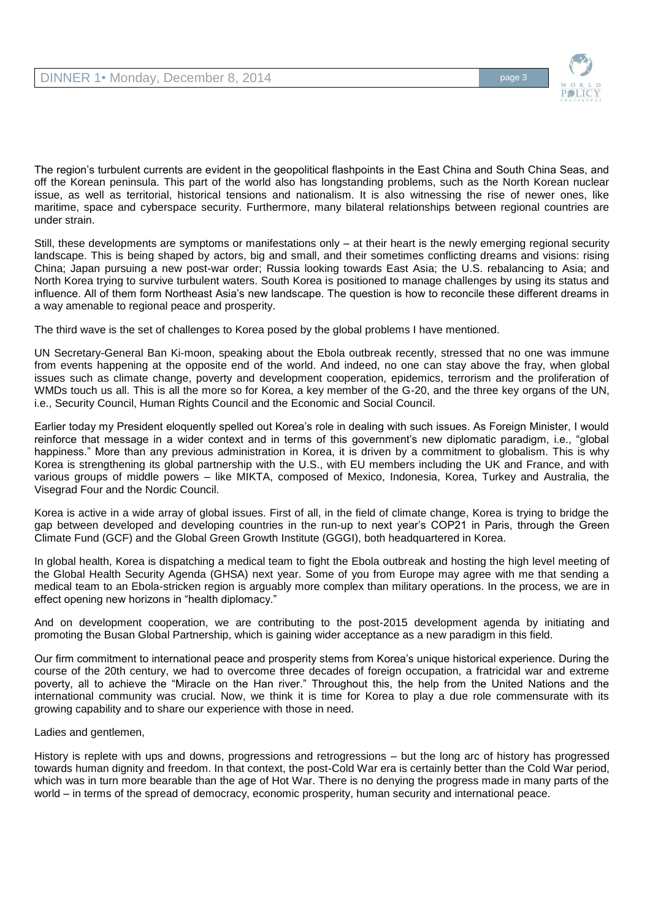

The region's turbulent currents are evident in the geopolitical flashpoints in the East China and South China Seas, and off the Korean peninsula. This part of the world also has longstanding problems, such as the North Korean nuclear issue, as well as territorial, historical tensions and nationalism. It is also witnessing the rise of newer ones, like maritime, space and cyberspace security. Furthermore, many bilateral relationships between regional countries are under strain.

Still, these developments are symptoms or manifestations only – at their heart is the newly emerging regional security landscape. This is being shaped by actors, big and small, and their sometimes conflicting dreams and visions: rising China; Japan pursuing a new post-war order; Russia looking towards East Asia; the U.S. rebalancing to Asia; and North Korea trying to survive turbulent waters. South Korea is positioned to manage challenges by using its status and influence. All of them form Northeast Asia's new landscape. The question is how to reconcile these different dreams in a way amenable to regional peace and prosperity.

The third wave is the set of challenges to Korea posed by the global problems I have mentioned.

UN Secretary-General Ban Ki-moon, speaking about the Ebola outbreak recently, stressed that no one was immune from events happening at the opposite end of the world. And indeed, no one can stay above the fray, when global issues such as climate change, poverty and development cooperation, epidemics, terrorism and the proliferation of WMDs touch us all. This is all the more so for Korea, a key member of the G-20, and the three key organs of the UN, i.e., Security Council, Human Rights Council and the Economic and Social Council.

Earlier today my President eloquently spelled out Korea's role in dealing with such issues. As Foreign Minister, I would reinforce that message in a wider context and in terms of this government's new diplomatic paradigm, i.e., "global happiness." More than any previous administration in Korea, it is driven by a commitment to globalism. This is why Korea is strengthening its global partnership with the U.S., with EU members including the UK and France, and with various groups of middle powers – like MIKTA, composed of Mexico, Indonesia, Korea, Turkey and Australia, the Visegrad Four and the Nordic Council.

Korea is active in a wide array of global issues. First of all, in the field of climate change, Korea is trying to bridge the gap between developed and developing countries in the run-up to next year's COP21 in Paris, through the Green Climate Fund (GCF) and the Global Green Growth Institute (GGGI), both headquartered in Korea.

In global health, Korea is dispatching a medical team to fight the Ebola outbreak and hosting the high level meeting of the Global Health Security Agenda (GHSA) next year. Some of you from Europe may agree with me that sending a medical team to an Ebola-stricken region is arguably more complex than military operations. In the process, we are in effect opening new horizons in "health diplomacy."

And on development cooperation, we are contributing to the post-2015 development agenda by initiating and promoting the Busan Global Partnership, which is gaining wider acceptance as a new paradigm in this field.

Our firm commitment to international peace and prosperity stems from Korea's unique historical experience. During the course of the 20th century, we had to overcome three decades of foreign occupation, a fratricidal war and extreme poverty, all to achieve the "Miracle on the Han river." Throughout this, the help from the United Nations and the international community was crucial. Now, we think it is time for Korea to play a due role commensurate with its growing capability and to share our experience with those in need.

Ladies and gentlemen,

History is replete with ups and downs, progressions and retrogressions – but the long arc of history has progressed towards human dignity and freedom. In that context, the post-Cold War era is certainly better than the Cold War period, which was in turn more bearable than the age of Hot War. There is no denying the progress made in many parts of the world – in terms of the spread of democracy, economic prosperity, human security and international peace.